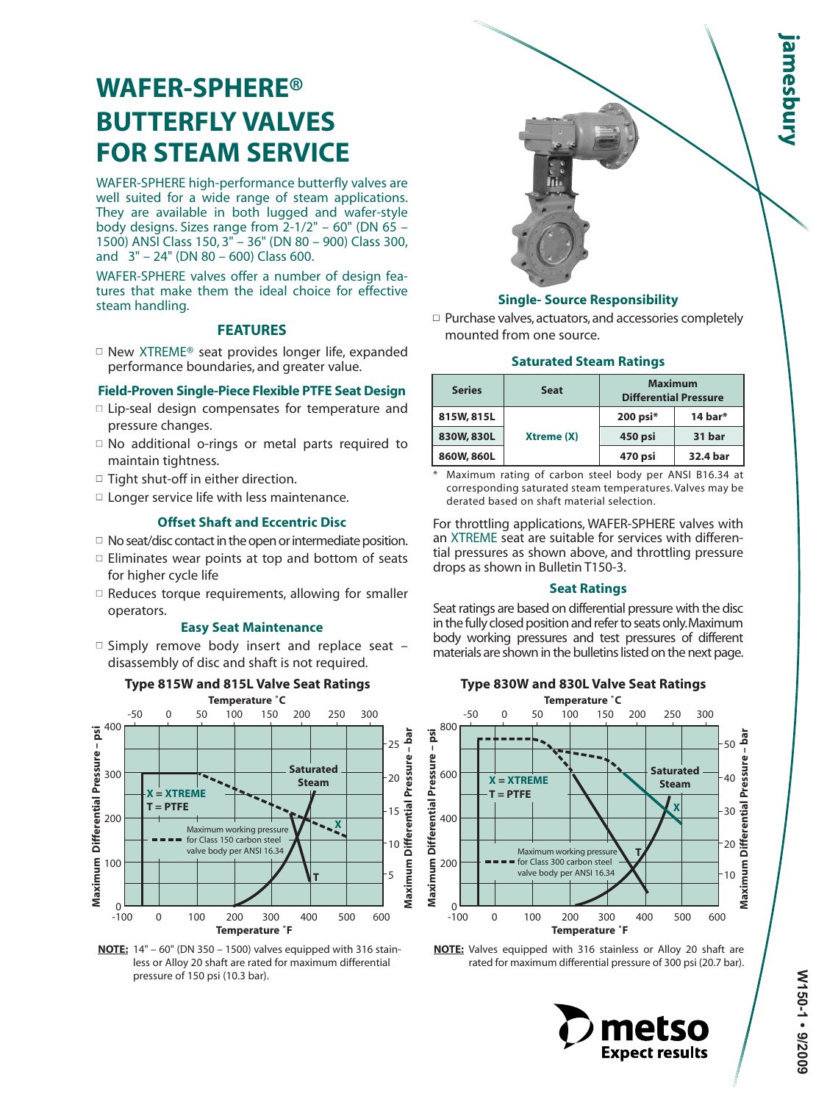# **WAFER-SPHERE® BUTTERFLY VALVES FOR STEAM SERVICE**

WAFER-SPHERE high-performance butterfly valves are well suited for a wide range of steam applications. They are available in both lugged and wafer-style body designs. Sizes range from 2-1/2" – 60" (DN 65 – 1500) ANSI Class 150, 3" – 36" (DN 80 – 900) Class 300, and 3" – 24" (DN 80 – 600) Class 600.

WAFER-SPHERE valves offer a number of design features that make them the ideal choice for effective steam handling.

# **FEATURES**

 $\Box$  New XTREME® seat provides longer life, expanded performance boundaries, and greater value.

## **Field-Proven Single-Piece Flexible PTFE Seat Design**

- $\Box$  Lip-seal design compensates for temperature and pressure changes.
- $\Box$  No additional o-rings or metal parts required to maintain tightness.
- $\Box$  Tight shut-off in either direction.
- $\square$  Longer service life with less maintenance.

### **Offset Shaft and Eccentric Disc**

- $\Box$  No seat/disc contact in the open or intermediate position.
- $\square$  Eliminates wear points at top and bottom of seats for higher cycle life
- $\Box$  Reduces torque requirements, allowing for smaller operators.

#### **Easy Seat Maintenance**

 $\Box$  Simply remove body insert and replace seat  $\Box$ disassembly of disc and shaft is not required.



**NOTE:** 14" – 60" (DN 350 – 1500) valves equipped with 316 stainless or Alloy 20 shaft are rated for maximum differential pressure of 150 psi (10.3 bar).



#### **Single- Source Responsibility**

□ Purchase valves, actuators, and accessories completely mounted from one source.

#### **Saturated Steam Ratings**

| <b>Series</b> | <b>Seat</b> | <b>Maximum</b><br><b>Differential Pressure</b> |          |
|---------------|-------------|------------------------------------------------|----------|
| 815W, 815L    | Xtreme (X)  | $200$ psi $*$                                  | 14 bar*  |
| 830W, 830L    |             | 450 psi                                        | 31 bar   |
| 860W, 860L    |             | 470 psi                                        | 32.4 bar |

Maximum rating of carbon steel body per ANSI B16.34 at corresponding saturated steam temperatures. Valves may be derated based on shaft material selection.

For throttling applications, WAFER-SPHERE valves with an XTREME seat are suitable for services with differential pressures as shown above, and throttling pressure drops as shown in Bulletin T150-3.

#### **Seat Ratings**

Seat ratings are based on differential pressure with the disc in the fully closed position and refer to seats only.Maximum body working pressures and test pressures of different materials are shown in the bulletins listed on the next page.



#### **NOTE:** Valves equipped with 316 stainless or Alloy 20 shaft are rated for maximum differential pressure of 300 psi (20.7 bar).